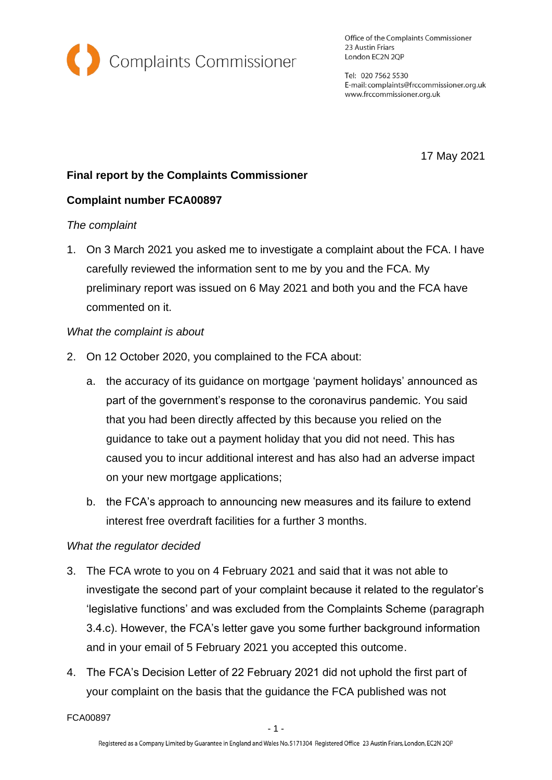

Office of the Complaints Commissioner 23 Austin Friars London EC2N 2QP

Tel: 020 7562 5530 E-mail: complaints@frccommissioner.org.uk www.frccommissioner.org.uk

17 May 2021

# **Final report by the Complaints Commissioner**

## **Complaint number FCA00897**

#### *The complaint*

1. On 3 March 2021 you asked me to investigate a complaint about the FCA. I have carefully reviewed the information sent to me by you and the FCA. My preliminary report was issued on 6 May 2021 and both you and the FCA have commented on it.

#### *What the complaint is about*

- 2. On 12 October 2020, you complained to the FCA about:
	- a. the accuracy of its guidance on mortgage 'payment holidays' announced as part of the government's response to the coronavirus pandemic. You said that you had been directly affected by this because you relied on the guidance to take out a payment holiday that you did not need. This has caused you to incur additional interest and has also had an adverse impact on your new mortgage applications;
	- b. the FCA's approach to announcing new measures and its failure to extend interest free overdraft facilities for a further 3 months.

## *What the regulator decided*

- 3. The FCA wrote to you on 4 February 2021 and said that it was not able to investigate the second part of your complaint because it related to the regulator's 'legislative functions' and was excluded from the Complaints Scheme (paragraph 3.4.c). However, the FCA's letter gave you some further background information and in your email of 5 February 2021 you accepted this outcome.
- 4. The FCA's Decision Letter of 22 February 2021 did not uphold the first part of your complaint on the basis that the guidance the FCA published was not

FCA00897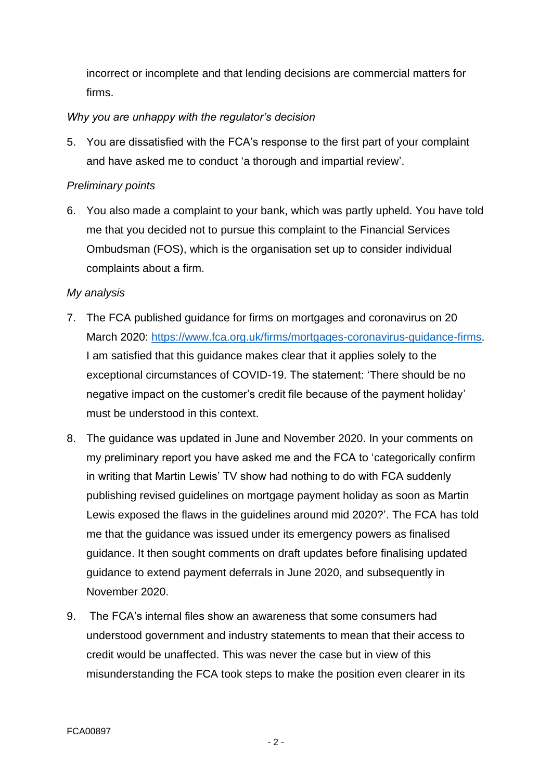incorrect or incomplete and that lending decisions are commercial matters for firms.

### *Why you are unhappy with the regulator's decision*

5. You are dissatisfied with the FCA's response to the first part of your complaint and have asked me to conduct 'a thorough and impartial review'.

#### *Preliminary points*

6. You also made a complaint to your bank, which was partly upheld. You have told me that you decided not to pursue this complaint to the Financial Services Ombudsman (FOS), which is the organisation set up to consider individual complaints about a firm.

#### *My analysis*

- 7. The FCA published guidance for firms on mortgages and coronavirus on 20 March 2020: [https://www.fca.org.uk/firms/mortgages-coronavirus-guidance-firms.](https://www.fca.org.uk/firms/mortgages-coronavirus-guidance-firms) I am satisfied that this guidance makes clear that it applies solely to the exceptional circumstances of COVID-19. The statement: 'There should be no negative impact on the customer's credit file because of the payment holiday' must be understood in this context.
- 8. The guidance was updated in June and November 2020. In your comments on my preliminary report you have asked me and the FCA to 'categorically confirm in writing that Martin Lewis' TV show had nothing to do with FCA suddenly publishing revised guidelines on mortgage payment holiday as soon as Martin Lewis exposed the flaws in the guidelines around mid 2020?'. The FCA has told me that the guidance was issued under its emergency powers as finalised guidance. It then sought comments on draft updates before finalising updated guidance to extend payment deferrals in June 2020, and subsequently in November 2020.
- 9. The FCA's internal files show an awareness that some consumers had understood government and industry statements to mean that their access to credit would be unaffected. This was never the case but in view of this misunderstanding the FCA took steps to make the position even clearer in its